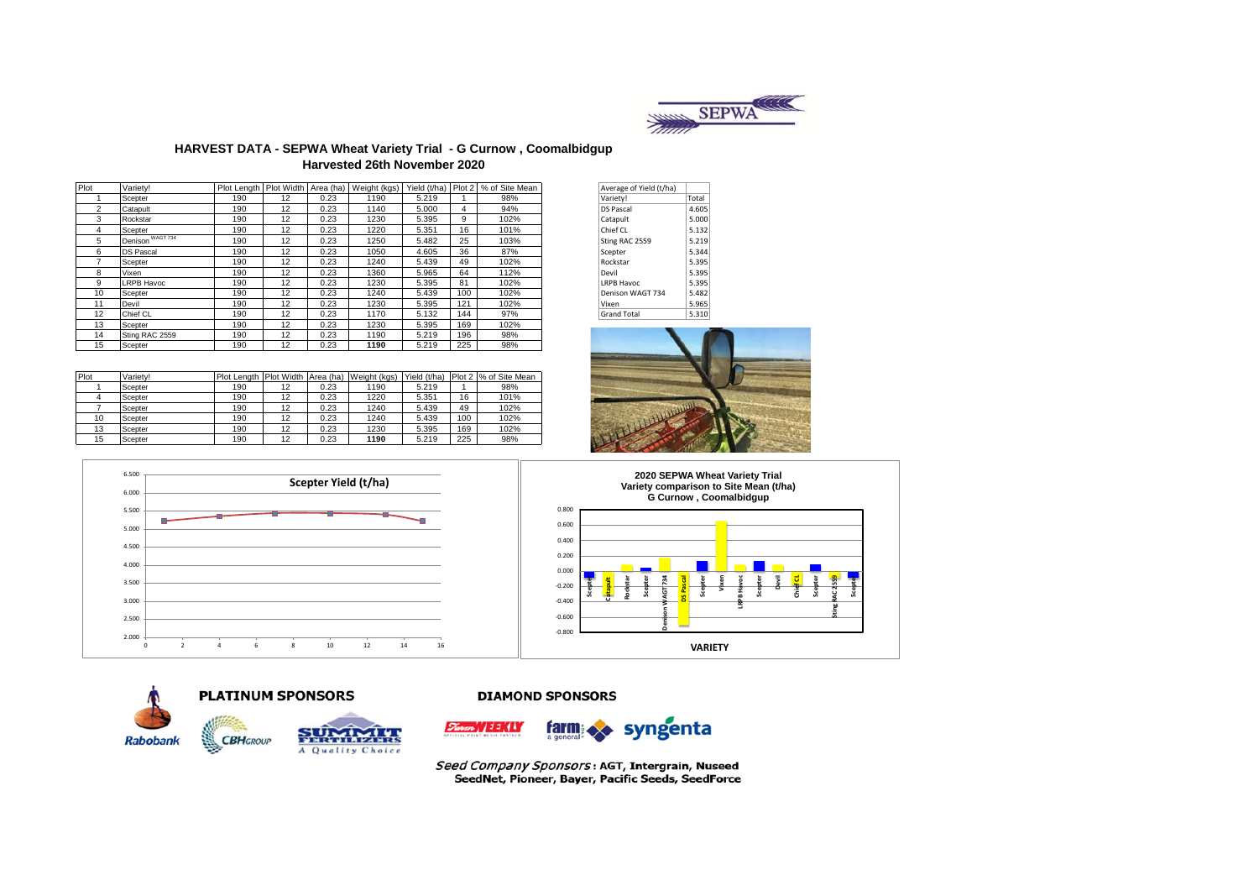

#### **HARVEST DATA - SEPWA Wheat Variety Trial - G Curnow , Coomalbidgup Harvested 26th November 2020**

| Plot           | Varietv!         |     |    |      |      |       |     | Plot Length   Plot Width   Area (ha)   Weight (kgs)   Yield (t/ha)   Plot 2   % of Site Mean | Average of Yield (t/ha) |       |
|----------------|------------------|-----|----|------|------|-------|-----|----------------------------------------------------------------------------------------------|-------------------------|-------|
|                | Scepter          | 190 | 12 | 0.23 | 1190 | 5.219 |     | 98%                                                                                          | Variety!                | Total |
| $\overline{2}$ | Catapult         | 190 | 12 | 0.23 | 1140 | 5.000 | 4   | 94%                                                                                          | <b>DS Pascal</b>        | 4.605 |
| 3              | Rockstar         | 190 | 12 | 0.23 | 1230 | 5.395 | 9   | 102%                                                                                         | Catapult                | 5.000 |
| 4              | Scepter          | 190 | 12 | 0.23 | 1220 | 5.351 | 16  | 101%                                                                                         | Chief CL                | 5.132 |
| 5              | Denison WAGT734  | 190 | 12 | 0.23 | 1250 | 5.482 | 25  | 103%                                                                                         | Sting RAC 2559          | 5.219 |
| 6              | <b>DS Pascal</b> | 190 | 12 | 0.23 | 1050 | 4.605 | 36  | 87%                                                                                          | Scepter                 | 5.344 |
|                | Scepter          | 190 | 12 | 0.23 | 1240 | 5.439 | 49  | 102%                                                                                         | Rockstar                | 5.395 |
| 8              | Vixen            | 190 | 12 | 0.23 | 1360 | 5.965 | 64  | 112%                                                                                         | Devil                   | 5.395 |
| 9              | LRPB Havoc       | 190 | 12 | 0.23 | 1230 | 5.395 | 81  | 102%                                                                                         | LRPB Havoc              | 5.395 |
| 10             | Scepter          | 190 | 12 | 0.23 | 1240 | 5.439 | 100 | 102%                                                                                         | Denison WAGT 734        | 5.482 |
| 11             | Devil            | 190 | 12 | 0.23 | 1230 | 5.395 | 121 | 102%                                                                                         | Vixen                   | 5.965 |
| 12             | Chief CL         | 190 | 12 | 0.23 | 1170 | 5.132 | 144 | 97%                                                                                          | <b>Grand Total</b>      | 5.310 |
| 13             | Scepter          | 190 | 12 | 0.23 | 1230 | 5.395 | 169 | 102%                                                                                         |                         |       |
| 14             | Sting RAC 2559   | 190 | 12 | 0.23 | 1190 | 5.219 | 196 | 98%                                                                                          |                         |       |
| 15             | Scepter          | 190 | 12 | 0.23 | 1190 | 5.219 | 225 | 98%                                                                                          |                         |       |

| Plot | Variety! |     |    |      | Plot Length   Plot Width   Area (ha)   Weight (kgs) | Yield (t/ha) |     | Plot 2 % of Site Mean |
|------|----------|-----|----|------|-----------------------------------------------------|--------------|-----|-----------------------|
|      | Scepter  | 190 | 12 | 0.23 | 1190                                                | 5.219        |     | 98%                   |
|      | Scepter  | 190 | 12 | 0.23 | 1220                                                | 5.351        | 16  | 101%                  |
|      | Scepter  | 190 | 12 | 0.23 | 1240                                                | 5.439        | 49  | 102%                  |
| 10   | Scepter  | 190 | 12 | 0.23 | 1240                                                | 5.439        | 100 | 102%                  |
| 13   | Scepter  | 190 | 12 | 0.23 | 1230                                                | 5.395        | 169 | 102%                  |
| 15   | Scepter  | 190 | 12 | 0.23 | 1190                                                | 5.219        | 225 | 98%                   |

| Average of Yield (t/ha) |       |
|-------------------------|-------|
| Variety!                | Total |
| <b>DS Pascal</b>        | 4.605 |
| Catapult                | 5.000 |
| Chief CL                | 5.132 |
| Sting RAC 2559          | 5.219 |
| Scepter                 | 5.344 |
| Rockstar                | 5.395 |
| Devil                   | 5.395 |
| <b>LRPB Havoc</b>       | 5.395 |
| Denison WAGT 734        | 5.482 |
| Vixen                   | 5.965 |
| <b>Grand Total</b>      | 5.310 |





**CBH**GROUP











A Quality Choice

#### **DIAMOND SPONSORS**



Seed Company Sponsors: AGT, Intergrain, Nuseed SeedNet, Pioneer, Bayer, Pacific Seeds, SeedForce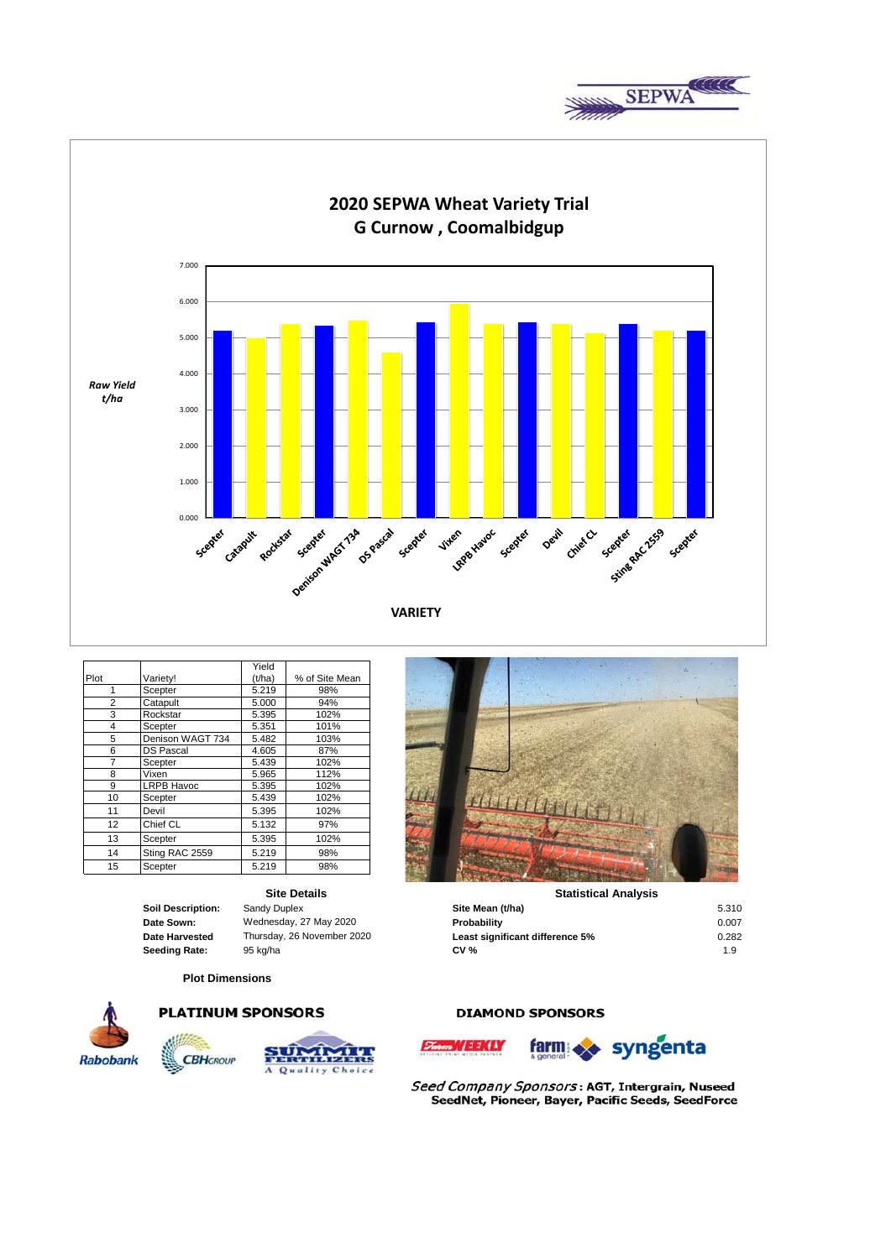



|                |                   | Yield  |                |
|----------------|-------------------|--------|----------------|
| Plot           | Variety!          | (t/ha) | % of Site Mean |
| 1              | Scepter           | 5.219  | 98%            |
| $\overline{2}$ | Catapult          | 5.000  | 94%            |
| 3              | Rockstar          | 5.395  | 102%           |
| 4              | Scepter           | 5.351  | 101%           |
| 5              | Denison WAGT 734  | 5.482  | 103%           |
| 6              | <b>DS Pascal</b>  | 4.605  | 87%            |
| 7              | Scepter           | 5.439  | 102%           |
| 8              | Vixen             | 5.965  | 112%           |
| 9              | <b>LRPB Havoc</b> | 5.395  | 102%           |
| 10             | Scepter           | 5.439  | 102%           |
| 11             | Devil             | 5.395  | 102%           |
| 12             | Chief CL          | 5.132  | 97%            |
| 13             | Scepter           | 5.395  | 102%           |
| 14             | Sting RAC 2559    | 5.219  | 98%            |
| 15             | Scepter           | 5.219  | 98%            |

## **Site Details**

#### **Plot Dimensions**



 $190$  12 0.23  $40$  12 0.23  $40$  12 0.23  $40$  12 0.23  $40$  12 0.23  $40$  12 0.23  $40$  12 0.23  $40$  12 0.23  $40$  12 0.23  $40$  12 0.23  $40$  12 0.23  $40$  12 0.23  $40$  12  $40$  12  $40$  12  $40$  12  $40$  12  $40$  12  $40$  12  $40$  12

**CBH**GROUP





### **Statistical Analysis**

| Soil Description: | Sandy Duplex               | Site Mean (t/ha)                | 5.310 |
|-------------------|----------------------------|---------------------------------|-------|
| Date Sown:        | Wednesday, 27 May 2020     | Probability                     | 0.007 |
| Date Harvested    | Thursday, 26 November 2020 | Least significant difference 5% | 0.282 |
| Seedina Rate:     | 95 ka/ha                   | <b>CV %</b>                     | 1.9   |

### **DIAMOND SPONSORS**





Seed Company Sponsors: AGT, Intergrain, Nuseed SeedNet, Pioneer, Bayer, Pacific Seeds, SeedForce